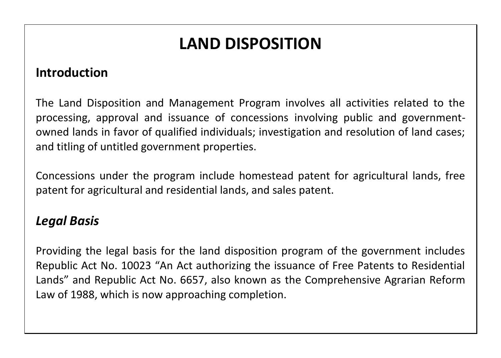# **LAND DISPOSITION**

#### **Introduction**

The Land Disposition and Management Program involves all activities related to the processing, approval and issuance of concessions involving public and governmentowned lands in favor of qualified individuals; investigation and resolution of land cases; and titling of untitled government properties.

Concessions under the program include homestead patent for agricultural lands, free patent for agricultural and residential lands, and sales patent.

### *Legal Basis*

Providing the legal basis for the land disposition program of the government includes Republic Act No. 10023 "An Act authorizing the issuance of Free Patents to Residential Lands" and Republic Act No. 6657, also known as the Comprehensive Agrarian Reform Law of 1988, which is now approaching completion.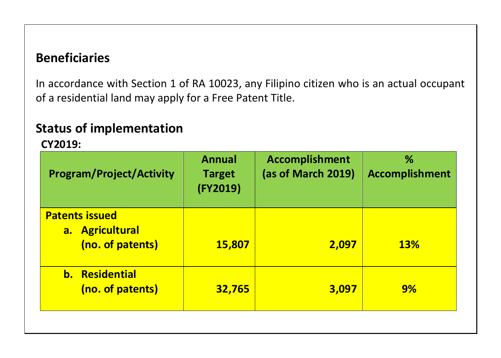## **Beneficiaries**

In accordance with Section 1 of RA 10023, any Filipino citizen who is an actual occupant of a residential land may apply for a Free Patent Title.

# **Status of implementation**

 **CY2019:**

| <b>Program/Project/Activity</b>                              | <b>Annual</b><br><b>Target</b><br>(FY2019) | <b>Accomplishment</b><br>(as of March 2019) | %<br><b>Accomplishment</b> |
|--------------------------------------------------------------|--------------------------------------------|---------------------------------------------|----------------------------|
| <b>Patents issued</b><br>a. Agricultural<br>(no. of patents) | 15,807                                     | 2,097                                       | <b>13%</b>                 |
| <b>b.</b> Residential<br>(no. of patents)                    | 32,765                                     | 3,097                                       | 9%                         |